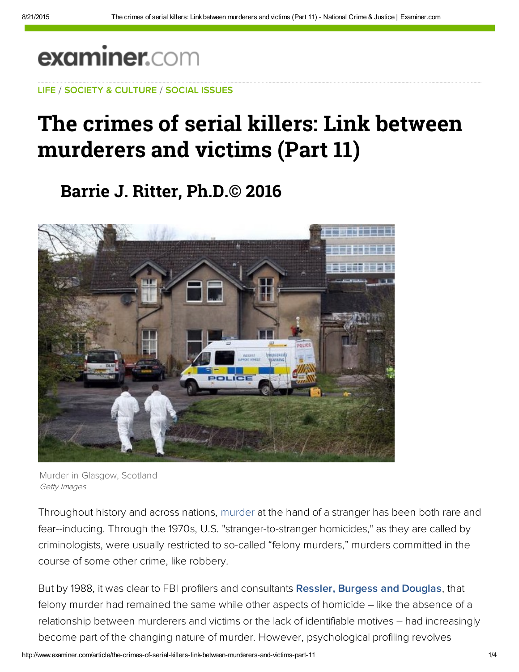## examiner.com

LIFE / SOCIETY & CULTURE / SOCIAL ISSUES

## The crimes of serial killers: Link between murderers and victims (Part 11)

**Barrie J. Ritter, Ph.D.© 2016**



Murder in Glasgow, Scotland Getty Images

Throughout history and across nations, murder at the hand of a stranger has been both rare and fear--inducing. Through the 1970s, U.S. "stranger-to-stranger homicides," as they are called by criminologists, were usually restricted to so-called "felony murders," murders committed in the course of some other crime, like robbery.

But by 1988, it was clear to FBI profilers and consultants [Ressler, Burgess and Douglas,](http://amzn.to/Jaw8vJ) that felony murder had remained the same while other aspects of homicide – like the absence of a relationship between murderers and victims or the lack of identifiable motives – had increasingly become part of the changing nature of murder. However, psychological profiling revolves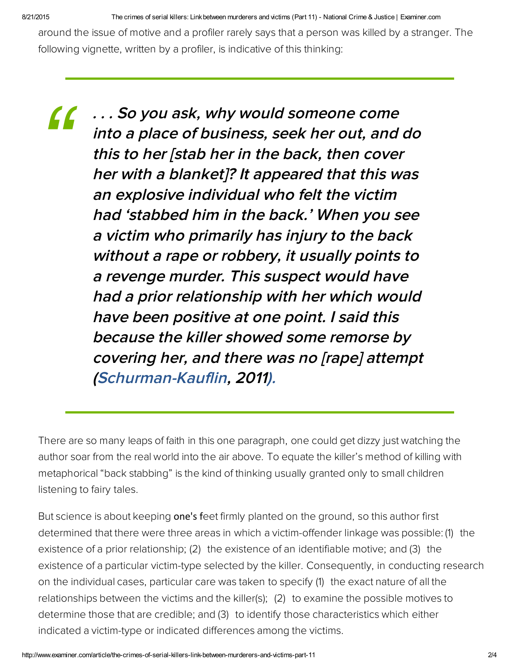8/21/2015 The crimes of serial killers: Link between murderers and victims (Part 11) National Crime & Justice | Examiner.com

around the issue of motive and a profiler rarely says that a person was killed by a stranger. The following vignette, written by a profiler, is indicative of this thinking:

*"*

. . . So you ask, why would someone come into a place of business, seek her out, and do this to her [stab her in the back, then cover her with a blanket]? It appeared that this was an explosive individual who felt the victim had 'stabbed him in the back.' When you see a victim who primarily has injury to the back without a rape or robbery, it usually points to a revenge murder. This suspect would have had a prior relationship with her which would have been positive at one point. I said this because the killer showed some remorse by covering her, and there was no [rape] attempt [\(Schurman-Kauflin](http://bit.ly/Jp18b7), 2011).

There are so many leaps of faith in this one paragraph, one could get dizzy just watching the author soar from the real world into the air above. To equate the killer's method of killing with metaphorical "back stabbing" is the kind of thinking usually granted only to small children listening to fairy tales.

But science is about keeping one's feet firmly planted on the ground, so this author first determined that there were three areas in which a victim-offender linkage was possible: (1) the existence of a prior relationship; (2) the existence of an identifiable motive; and (3) the existence of a particular victim-type selected by the killer. Consequently, in conducting research on the individual cases, particular care was taken to specify (1) the exact nature of all the relationships between the victims and the killer(s); (2) to examine the possible motives to determine those that are credible; and (3) to identify those characteristics which either indicated a victim-type or indicated differences among the victims.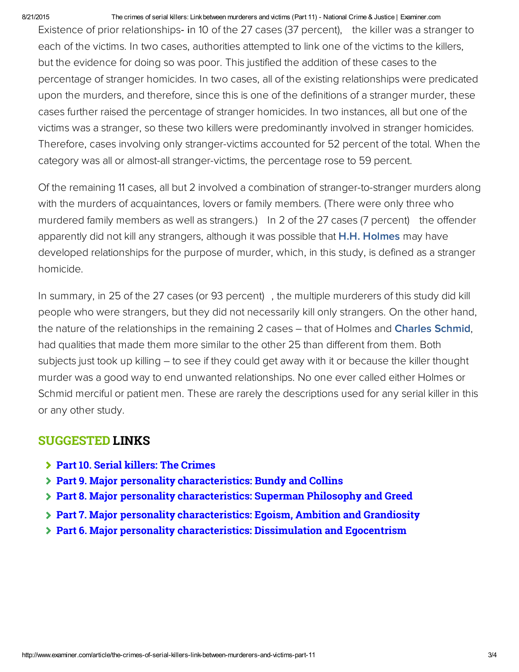## 8/21/2015 The crimes of serial killers: Link between murderers and victims (Part 11) - National Crime & Justice | Examiner.com

Existence of prior relationships- in 10 of the 27 cases (37 percent), the killer was a stranger to each of the victims. In two cases, authorities attempted to link one of the victims to the killers, but the evidence for doing so was poor. This justified the addition of these cases to the percentage of stranger homicides. In two cases, all of the existing relationships were predicated upon the murders, and therefore, since this is one of the definitions of a stranger murder, these cases further raised the percentage of stranger homicides. In two instances, all but one of the victims was a stranger, so these two killers were predominantly involved in stranger homicides. Therefore, cases involving only stranger-victims accounted for 52 percent of the total. When the category was all or almost-all stranger-victims, the percentage rose to 59 percent.

Of the remaining 11 cases, all but 2 involved a combination of stranger-to-stranger murders along with the murders of acquaintances, lovers or family members. (There were only three who murdered family members as well as strangers.) In 2 of the 27 cases (7 percent) the offender apparently did not kill any strangers, although it was possible that **[H.H. Holmes](http://bit.ly/JKAxjC)** may have developed relationships for the purpose of murder, which, in this study, is defined as a stranger homicide.

In summary, in 25 of the 27 cases (or 93 percent) , the multiple murderers of this study did kill people who were strangers, but they did not necessarily kill only strangers. On the other hand, the nature of the relationships in the remaining 2 cases – that of Holmes and **[Charles Schmid](https://en.wikipedia.org/wiki/Charles_Schmid)**, had qualities that made them more similar to the other 25 than different from them. Both subjects just took up killing – to see if they could get away with it or because the killer thought murder was a good way to end unwanted relationships. No one ever called either Holmes or Schmid merciful or patient men. These are rarely the descriptions used for any serial killer in this or any other study.

## SUGGESTED LINKS

- **[Part 10. Serial killers: The Crimes](http://www.ritterhomicideresearch.com/articles/Part-10.pdf)**
- **[Part 9. Major personality characteristics: Bundy and Collins](http://www.ritterhomicideresearch.com/articles/Part-9.pdf)**
- **[Part 8. Major personality characteristics: Superman Philosophy and Greed](http://www.ritterhomicideresearch.com/articles/Part-8.pdf)**
- **[Part 7. Major personality characteristics: Egoism, Ambition and Grandiosity](http://www.ritterhomicideresearch.com/articles/Part-7.pdf)**
- **[Part 6. Major personality characteristics: Dissimulation and Egocentrism](http://www.ritterhomicideresearch.com/articles/Part-6.pdf)**